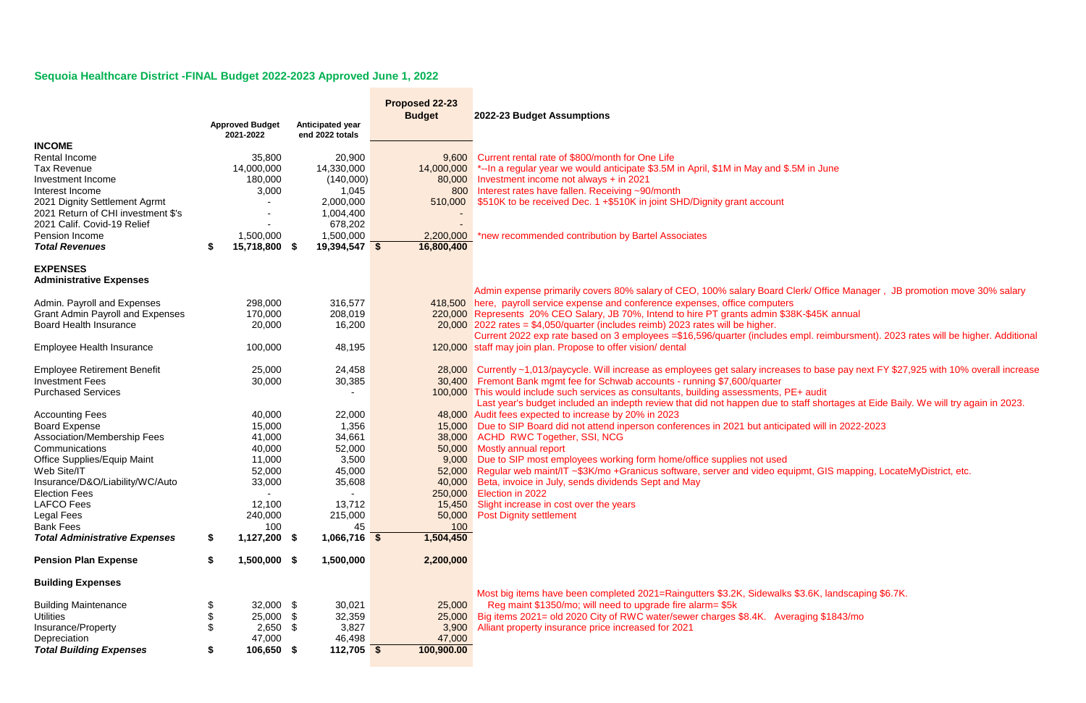## **Sequoia Healthcare District -FINAL Budget 2022-2023 Approved June 1, 2022**

|                                                          |    | <b>Approved Budget</b> | Anticipated year   | Proposed 22-23<br><b>Budget</b> | 2022-23 Budget Assumptions                                                                            |
|----------------------------------------------------------|----|------------------------|--------------------|---------------------------------|-------------------------------------------------------------------------------------------------------|
|                                                          |    | 2021-2022              | end 2022 totals    |                                 |                                                                                                       |
| <b>INCOME</b>                                            |    |                        |                    |                                 |                                                                                                       |
| Rental Income                                            |    | 35,800                 | 20,900             |                                 | 9,600 Current rental rate of \$800/month for One Life                                                 |
| <b>Tax Revenue</b>                                       |    | 14,000,000             | 14,330,000         |                                 | 14,000,000 *--In a regular year we would anticipate \$3.5M in April, \$1M in May and \$.5M in June    |
| Investment Income<br>Interest Income                     |    | 180,000                | (140,000)          |                                 | 80,000 Investment income not always + in 2021<br>800 Interest rates have fallen. Receiving ~90/month  |
| 2021 Dignity Settlement Agrmt                            |    | 3,000                  | 1,045<br>2,000,000 |                                 | 510,000 \$510K to be received Dec. 1 +\$510K in joint SHD/Dignity grant account                       |
| 2021 Return of CHI investment \$'s                       |    |                        | 1,004,400          |                                 |                                                                                                       |
| 2021 Calif. Covid-19 Relief                              |    |                        | 678,202            |                                 |                                                                                                       |
| Pension Income                                           |    | 1,500,000              | 1,500,000          | 2,200,000                       | *new recommended contribution by Bartel Associates                                                    |
| <b>Total Revenues</b>                                    | S  | 15,718,800 \$          | 19,394,547 \$      | 16,800,400                      |                                                                                                       |
|                                                          |    |                        |                    |                                 |                                                                                                       |
| <b>EXPENSES</b><br><b>Administrative Expenses</b>        |    |                        |                    |                                 |                                                                                                       |
|                                                          |    |                        |                    |                                 | Admin expense primarily covers 80% salary of CEO, 100% salary Board Clerk/Office Manager,             |
| Admin. Payroll and Expenses                              |    | 298,000                | 316,577            |                                 | 418,500 here, payroll service expense and conference expenses, office computers                       |
| <b>Grant Admin Payroll and Expenses</b>                  |    | 170,000                | 208,019            |                                 | 220,000 Represents 20% CEO Salary, JB 70%, Intend to hire PT grants admin \$38K-\$45K annual          |
| <b>Board Health Insurance</b>                            |    | 20,000                 | 16,200             |                                 | $20,000$ 2022 rates = \$4,050/quarter (includes reimb) 2023 rates will be higher.                     |
|                                                          |    |                        |                    |                                 | Current 2022 exp rate based on 3 employees = \$16,596/quarter (includes empl. reimbursment).          |
| Employee Health Insurance                                |    | 100,000                | 48,195             |                                 | 120,000 staff may join plan. Propose to offer vision/ dental                                          |
| <b>Employee Retirement Benefit</b>                       |    | 25,000                 | 24,458             |                                 | 28,000 Currently ~1,013/paycycle. Will increase as employees get salary increases to base pay next F  |
| <b>Investment Fees</b>                                   |    | 30,000                 | 30,385             |                                 | 30,400 Fremont Bank mgmt fee for Schwab accounts - running \$7,600/quarter                            |
| <b>Purchased Services</b>                                |    |                        |                    |                                 | 100,000 This would include such services as consultants, building assessments, PE+ audit              |
|                                                          |    |                        |                    |                                 | Last year's budget included an indepth review that did not happen due to staff shortages at Eide      |
| <b>Accounting Fees</b>                                   |    | 40,000                 | 22,000             |                                 | 48,000 Audit fees expected to increase by 20% in 2023                                                 |
| <b>Board Expense</b>                                     |    | 15,000                 | 1,356              |                                 | 15,000 Due to SIP Board did not attend inperson conferences in 2021 but anticipated will in 2022-2023 |
| Association/Membership Fees                              |    | 41,000                 | 34,661             |                                 | 38,000 ACHD RWC Together, SSI, NCG                                                                    |
| Communications                                           |    | 40,000                 | 52,000             |                                 | 50,000 Mostly annual report                                                                           |
| <b>Office Supplies/Equip Maint</b>                       |    | 11,000                 | 3,500              |                                 | 9,000 Due to SIP most employees working form home/office supplies not used                            |
| Web Site/IT                                              |    | 52,000                 | 45,000             |                                 | 52,000 Regular web maint/IT ~\$3K/mo +Granicus software, server and video equipmt, GIS mapping, L     |
| Insurance/D&O/Liability/WC/Auto                          |    | 33,000                 | 35,608             |                                 | 40,000 Beta, invoice in July, sends dividends Sept and May                                            |
| <b>Election Fees</b>                                     |    |                        |                    |                                 | 250,000 Election in 2022                                                                              |
| <b>LAFCO Fees</b>                                        |    | 12,100                 | 13,712             | 15,450                          | Slight increase in cost over the years                                                                |
| Legal Fees                                               |    | 240,000                | 215,000            | 50,000                          | <b>Post Dignity settlement</b>                                                                        |
| <b>Bank Fees</b><br><b>Total Administrative Expenses</b> |    | 100<br>1,127,200 \$    | 45<br>1,066,716 \$ | 100<br>1,504,450                |                                                                                                       |
|                                                          | \$ |                        |                    |                                 |                                                                                                       |
| <b>Pension Plan Expense</b>                              | \$ | 1,500,000 \$           | 1,500,000          | 2,200,000                       |                                                                                                       |
| <b>Building Expenses</b>                                 |    |                        |                    |                                 |                                                                                                       |
|                                                          |    |                        |                    |                                 | Most big items have been completed 2021=Raingutters \$3.2K, Sidewalks \$3.6K, landscaping \$          |
| <b>Building Maintenance</b>                              |    | 32,000                 | \$<br>30,021       | 25,000                          | Reg maint \$1350/mo; will need to upgrade fire alarm= \$5k                                            |
| <b>Utilities</b>                                         |    | 25,000                 | 32,359<br>\$       | 25,000                          | Big items 2021= old 2020 City of RWC water/sewer charges \$8.4K. Averaging \$1843/mo                  |
| Insurance/Property                                       |    | 2,650                  | -S<br>3,827        | 3,900                           | Alliant property insurance price increased for 2021                                                   |
| Depreciation                                             |    | 47,000                 | 46,498             | 47,000                          |                                                                                                       |
| <b>Total Building Expenses</b>                           |    | 106,650 \$             | $112,705$ \$       | 100,900.00                      |                                                                                                       |

lerk/ Office Manager, JB promotion move 30% salary

empl. reimbursment). 2023 rates will be higher. Additional

es to base pay next FY \$27,925 with 10% overall increase

Last weart included an included and not have to statude that the statude to statude to statude to start that the not statude to start that the not start that the to staff shortages at Eide Baily. We will try again in 2023.

ipmt, GIS mapping, LocateMyDistrict, etc.

\$3.6K, landscaping \$6.7K.